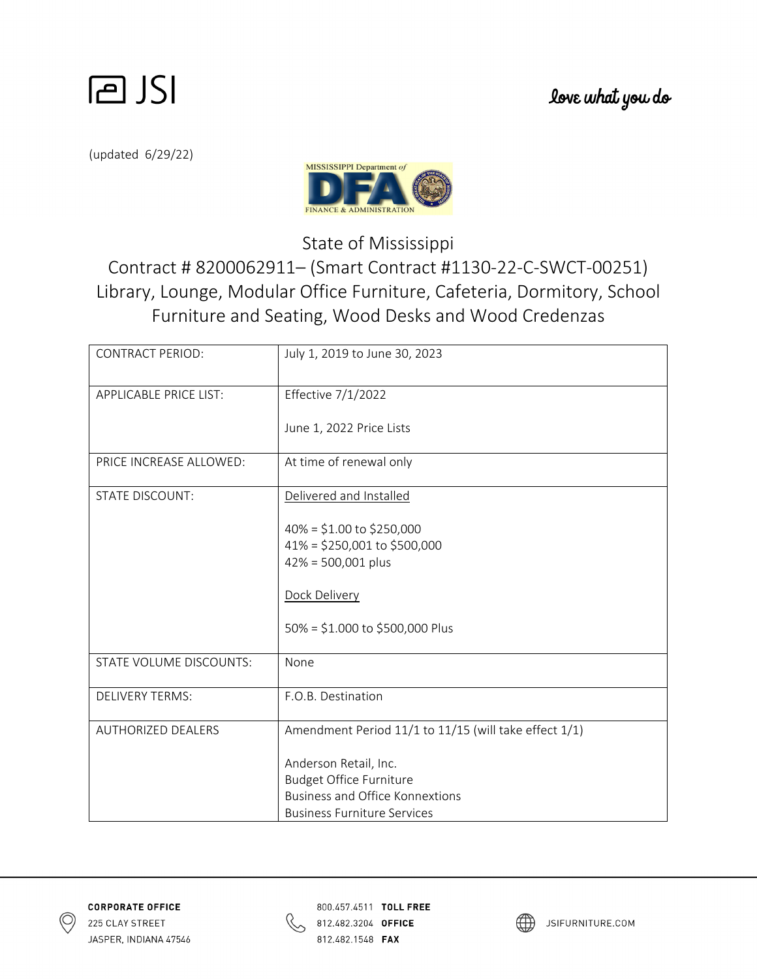

(updated 6/29/22)



State of Mississippi

Contract # 8200062911– (Smart Contract #1130‐22‐C‐SWCT‐00251) Library, Lounge, Modular Office Furniture, Cafeteria, Dormitory, School Furniture and Seating, Wood Desks and Wood Credenzas

| <b>CONTRACT PERIOD:</b>       | July 1, 2019 to June 30, 2023                                                          |
|-------------------------------|----------------------------------------------------------------------------------------|
| <b>APPLICABLE PRICE LIST:</b> | Effective 7/1/2022                                                                     |
|                               | June 1, 2022 Price Lists                                                               |
| PRICE INCREASE ALLOWED:       | At time of renewal only                                                                |
| <b>STATE DISCOUNT:</b>        | Delivered and Installed                                                                |
|                               | $40\% = $1.00$ to \$250,000<br>$41\% = $250,001$ to \$500,000<br>$42\% = 500,001$ plus |
|                               | Dock Delivery                                                                          |
|                               | 50% = \$1.000 to \$500,000 Plus                                                        |
| STATE VOLUME DISCOUNTS:       | None                                                                                   |
| <b>DELIVERY TERMS:</b>        | F.O.B. Destination                                                                     |
| <b>AUTHORIZED DEALERS</b>     | Amendment Period 11/1 to 11/15 (will take effect 1/1)                                  |
|                               | Anderson Retail, Inc.                                                                  |
|                               | <b>Budget Office Furniture</b>                                                         |
|                               | <b>Business and Office Konnextions</b>                                                 |
|                               | <b>Business Furniture Services</b>                                                     |





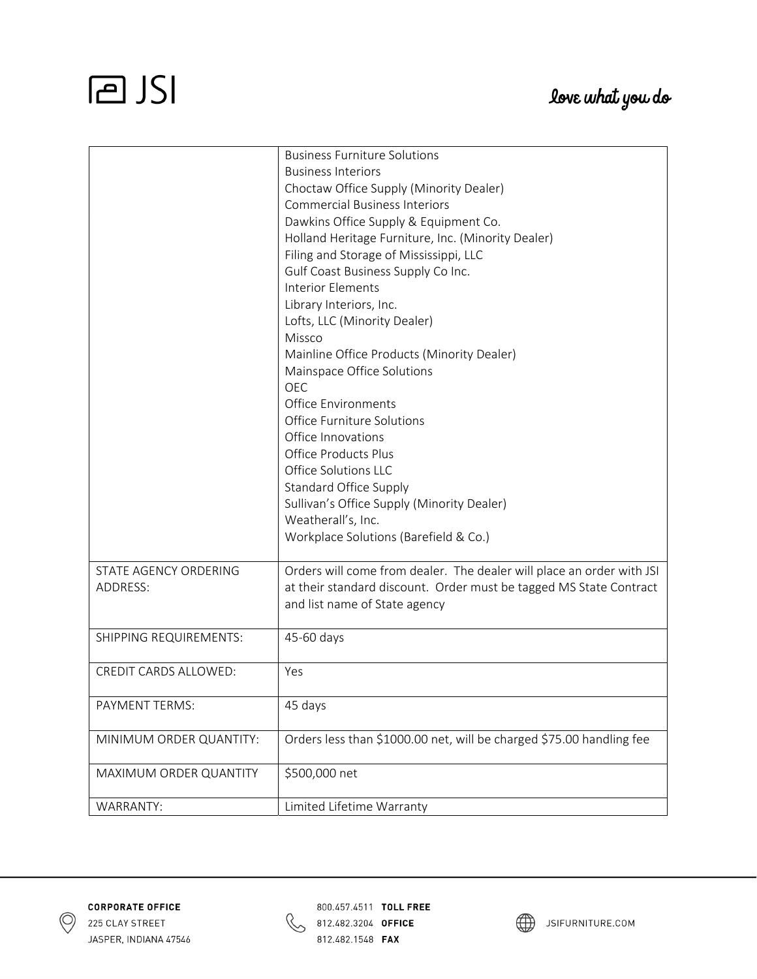## **PJSI**

|                         | <b>Business Furniture Solutions</b>                                   |
|-------------------------|-----------------------------------------------------------------------|
|                         | <b>Business Interiors</b>                                             |
|                         | Choctaw Office Supply (Minority Dealer)                               |
|                         | <b>Commercial Business Interiors</b>                                  |
|                         | Dawkins Office Supply & Equipment Co.                                 |
|                         | Holland Heritage Furniture, Inc. (Minority Dealer)                    |
|                         | Filing and Storage of Mississippi, LLC                                |
|                         | Gulf Coast Business Supply Co Inc.                                    |
|                         | <b>Interior Elements</b>                                              |
|                         | Library Interiors, Inc.                                               |
|                         | Lofts, LLC (Minority Dealer)                                          |
|                         | Missco                                                                |
|                         | Mainline Office Products (Minority Dealer)                            |
|                         | Mainspace Office Solutions                                            |
|                         | <b>OEC</b>                                                            |
|                         | <b>Office Environments</b>                                            |
|                         | Office Furniture Solutions                                            |
|                         | Office Innovations                                                    |
|                         | <b>Office Products Plus</b>                                           |
|                         | Office Solutions LLC                                                  |
|                         | Standard Office Supply                                                |
|                         | Sullivan's Office Supply (Minority Dealer)                            |
|                         | Weatherall's, Inc.                                                    |
|                         | Workplace Solutions (Barefield & Co.)                                 |
|                         |                                                                       |
| STATE AGENCY ORDERING   | Orders will come from dealer. The dealer will place an order with JSI |
| ADDRESS:                | at their standard discount. Order must be tagged MS State Contract    |
|                         | and list name of State agency                                         |
|                         |                                                                       |
| SHIPPING REQUIREMENTS:  | 45-60 days                                                            |
|                         |                                                                       |
| CREDIT CARDS ALLOWED:   | Yes                                                                   |
|                         |                                                                       |
| PAYMENT TERMS:          | 45 days                                                               |
|                         |                                                                       |
| MINIMUM ORDER QUANTITY: | Orders less than \$1000.00 net, will be charged \$75.00 handling fee  |
|                         |                                                                       |
| MAXIMUM ORDER QUANTITY  | \$500,000 net                                                         |
|                         |                                                                       |
| WARRANTY:               | Limited Lifetime Warranty                                             |